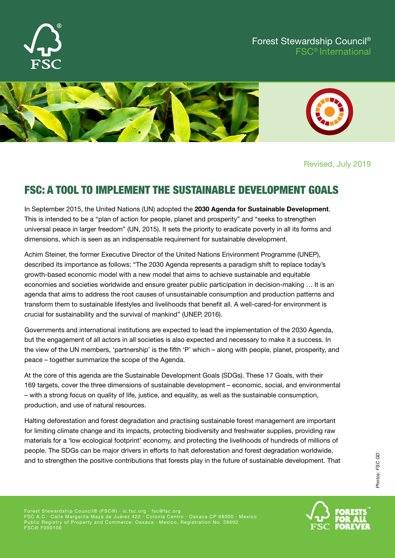

#### Forest Stewardship Council® FSC® International



Revised, July 2019

# FSC: A TOOL TO IMPLEMENT THE SUSTAINABLE DEVELOPMENT GOALS

In September 2015, the United Nations (UN) adopted the **2030 Agenda for Sustainable Development**. This is intended to be a "plan of action for people, planet and prosperity" and "seeks to strengthen universal peace in larger freedom" (UN, 2015). It sets the priority to eradicate poverty in all its forms and dimensions, which is seen as an indispensable requirement for sustainable development.

Achim Steiner, the former Executive Director of the United Nations Environment Programme (UNEP), described its importance as follows: "The 2030 Agenda represents a paradigm shift to replace today's growth-based economic model with a new model that aims to achieve sustainable and equitable economies and societies worldwide and ensure greater public participation in decision-making … It is an agenda that aims to address the root causes of unsustainable consumption and production patterns and transform them to sustainable lifestyles and livelihoods that benefit all. A well-cared-for environment is crucial for sustainability and the survival of mankind" (UNEP, 2016).

Governments and international institutions are expected to lead the implementation of the 2030 Agenda, but the engagement of all actors in all societies is also expected and necessary to make it a success. In the view of the UN members, 'partnership' is the fifth 'P' which – along with people, planet, prosperity, and peace – together summarize the scope of the Agenda.

At the core of this agenda are the Sustainable Development Goals (SDGs). These 17 Goals, with their 169 targets, cover the three dimensions of sustainable development – economic, social, and environmental – with a strong focus on quality of life, justice, and equality, as well as the sustainable consumption, production, and use of natural resources.

Halting deforestation and forest degradation and practising sustainable forest management are important for limiting climate change and its impacts, protecting biodiversity and freshwater supplies, providing raw materials for a 'low ecological footprint' economy, and protecting the livelihoods of hundreds of millions of people. The SDGs can be major drivers in efforts to halt deforestation and forest degradation worldwide, and to strengthen the positive contributions that forests play in the future of sustainable development. That

Photos: FSC GD *Photos: FSC GD*

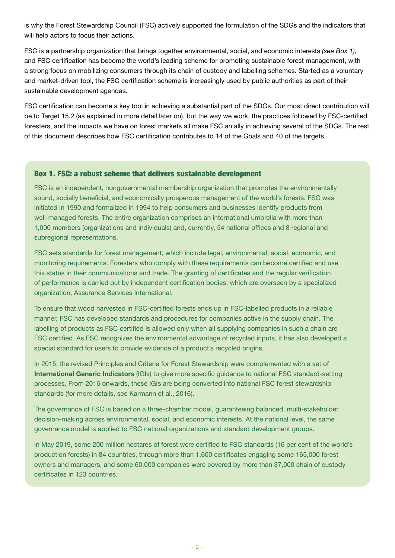is why the Forest Stewardship Council (FSC) actively supported the formulation of the SDGs and the indicators that will help actors to focus their actions.

FSC is a partnership organization that brings together environmental, social, and economic interests *(see Box 1)*, and FSC certification has become the world's leading scheme for promoting sustainable forest management, with a strong focus on mobilizing consumers through its chain of custody and labelling schemes. Started as a voluntary and market-driven tool, the FSC certification scheme is increasingly used by public authorities as part of their sustainable development agendas.

FSC certification can become a key tool in achieving a substantial part of the SDGs. Our most direct contribution will be to Target 15.2 (as explained in more detail later on), but the way we work, the practices followed by FSC-certified foresters, and the impacts we have on forest markets all make FSC an ally in achieving several of the SDGs. The rest of this document describes how FSC certification contributes to 14 of the Goals and 40 of the targets.

#### Box 1. FSC: a robust scheme that delivers sustainable development

FSC is an independent, nongovernmental membership organization that promotes the environmentally sound, socially beneficial, and economically prosperous management of the world's forests. FSC was initiated in 1990 and formalized in 1994 to help consumers and businesses identify products from well-managed forests. The entire organization comprises an international umbrella with more than 1,000 members (organizations and individuals) and, currently, 54 national offices and 8 regional and subregional representations.

FSC sets standards for forest management, which include legal, environmental, social, economic, and monitoring requirements. Foresters who comply with these requirements can become certified and use this status in their communications and trade. The granting of certificates and the regular verification of performance is carried out by independent certification bodies, which are overseen by a specialized organization, Assurance Services International.

To ensure that wood harvested in FSC-certified forests ends up in FSC-labelled products in a reliable manner, FSC has developed standards and procedures for companies active in the supply chain. The labelling of products as FSC certified is allowed only when all supplying companies in such a chain are FSC certified. As FSC recognizes the environmental advantage of recycled inputs, it has also developed a special standard for users to provide evidence of a product's recycled origins.

In 2015, the revised Principles and Criteria for Forest Stewardship were complemented with a set of **International Generic Indicators** (IGIs) to give more specific guidance to national FSC standard-setting processes. From 2016 onwards, these IGIs are being converted into national FSC forest stewardship standards (for more details, see Karmann et al., 2016).

The governance of FSC is based on a three-chamber model, guaranteeing balanced, multi-stakeholder decision-making across environmental, social, and economic interests. At the national level, the same governance model is applied to FSC national organizations and standard development groups.

In May 2019, some 200 million hectares of forest were certified to FSC standards (16 per cent of the world's production forests) in 84 countries, through more than 1,600 certificates engaging some 165,000 forest owners and managers, and some 60,000 companies were covered by more than 37,000 chain of custody certificates in 123 countries.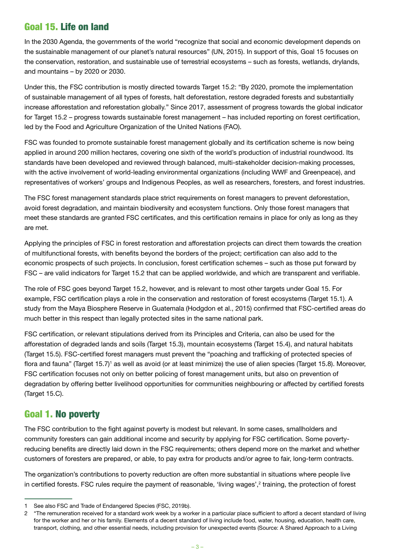## Goal 15. Life on land

In the 2030 Agenda, the governments of the world "recognize that social and economic development depends on the sustainable management of our planet's natural resources" (UN, 2015). In support of this, Goal 15 focuses on the conservation, restoration, and sustainable use of terrestrial ecosystems – such as forests, wetlands, drylands, and mountains – by 2020 or 2030.

Under this, the FSC contribution is mostly directed towards Target 15.2: "By 2020, promote the implementation of sustainable management of all types of forests, halt deforestation, restore degraded forests and substantially increase afforestation and reforestation globally." Since 2017, assessment of progress towards the global indicator for Target 15.2 – progress towards sustainable forest management – has included reporting on forest certification, led by the Food and Agriculture Organization of the United Nations (FAO).

FSC was founded to promote sustainable forest management globally and its certification scheme is now being applied in around 200 million hectares, covering one sixth of the world's production of industrial roundwood. Its standards have been developed and reviewed through balanced, multi-stakeholder decision-making processes, with the active involvement of world-leading environmental organizations (including WWF and Greenpeace), and representatives of workers' groups and Indigenous Peoples, as well as researchers, foresters, and forest industries.

The FSC forest management standards place strict requirements on forest managers to prevent deforestation, avoid forest degradation, and maintain biodiversity and ecosystem functions. Only those forest managers that meet these standards are granted FSC certificates, and this certification remains in place for only as long as they are met.

Applying the principles of FSC in forest restoration and afforestation projects can direct them towards the creation of multifunctional forests, with benefits beyond the borders of the project; certification can also add to the economic prospects of such projects. In conclusion, forest certification schemes – such as those put forward by FSC – are valid indicators for Target 15.2 that can be applied worldwide, and which are transparent and verifiable.

The role of FSC goes beyond Target 15.2, however, and is relevant to most other targets under Goal 15. For example, FSC certification plays a role in the conservation and restoration of forest ecosystems (Target 15.1). A study from the Maya Biosphere Reserve in Guatemala (Hodgdon et al., 2015) confirmed that FSC-certified areas do much better in this respect than legally protected sites in the same national park.

FSC certification, or relevant stipulations derived from its Principles and Criteria, can also be used for the afforestation of degraded lands and soils (Target 15.3), mountain ecosystems (Target 15.4), and natural habitats (Target 15.5). FSC-certified forest managers must prevent the "poaching and trafficking of protected species of flora and fauna" (Target 15.7)<sup>1</sup> as well as avoid (or at least minimize) the use of alien species (Target 15.8). Moreover, FSC certification focuses not only on better policing of forest management units, but also on prevention of degradation by offering better livelihood opportunities for communities neighbouring or affected by certified forests (Target 15.C).

## Goal 1. No poverty

The FSC contribution to the fight against poverty is modest but relevant. In some cases, smallholders and community foresters can gain additional income and security by applying for FSC certification. Some povertyreducing benefits are directly laid down in the FSC requirements; others depend more on the market and whether customers of foresters are prepared, or able, to pay extra for products and/or agree to fair, long-term contracts.

The organization's contributions to poverty reduction are often more substantial in situations where people live in certified forests. FSC rules require the payment of reasonable, 'living wages',<sup>2</sup> training, the protection of forest

<sup>1</sup> See also FSC and Trade of Endangered Species (FSC, 2019b).

<sup>2</sup> "The remuneration received for a standard work week by a worker in a particular place sufficient to afford a decent standard of living for the worker and her or his family. Elements of a decent standard of living include food, water, housing, education, health care, transport, clothing, and other essential needs, including provision for unexpected events (Source: A Shared Approach to a Living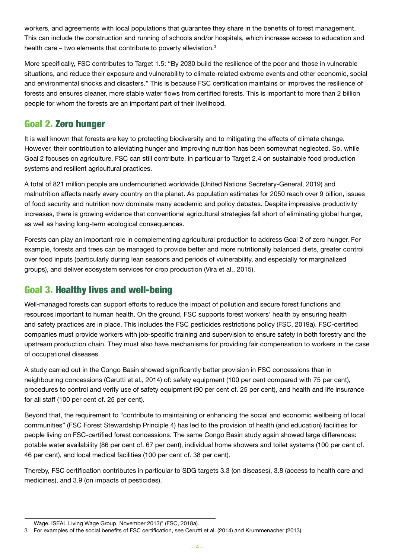workers, and agreements with local populations that guarantee they share in the benefits of forest management. This can include the construction and running of schools and/or hospitals, which increase access to education and health care – two elements that contribute to poverty alleviation.<sup>3</sup>

More specifically, FSC contributes to Target 1.5: "By 2030 build the resilience of the poor and those in vulnerable situations, and reduce their exposure and vulnerability to climate-related extreme events and other economic, social and environmental shocks and disasters." This is because FSC certification maintains or improves the resilience of forests and ensures cleaner, more stable water flows from certified forests. This is important to more than 2 billion people for whom the forests are an important part of their livelihood.

## Goal 2. Zero hunger

It is well known that forests are key to protecting biodiversity and to mitigating the effects of climate change. However, their contribution to alleviating hunger and improving nutrition has been somewhat neglected. So, while Goal 2 focuses on agriculture, FSC can still contribute, in particular to Target 2.4 on sustainable food production systems and resilient agricultural practices.

A total of 821 million people are undernourished worldwide (United Nations Secretary-General, 2019) and malnutrition affects nearly every country on the planet. As population estimates for 2050 reach over 9 billion, issues of food security and nutrition now dominate many academic and policy debates. Despite impressive productivity increases, there is growing evidence that conventional agricultural strategies fall short of eliminating global hunger, as well as having long-term ecological consequences.

Forests can play an important role in complementing agricultural production to address Goal 2 of zero hunger. For example, forests and trees can be managed to provide better and more nutritionally balanced diets, greater control over food inputs (particularly during lean seasons and periods of vulnerability, and especially for marginalized groups), and deliver ecosystem services for crop production (Vira et al., 2015).

## Goal 3. Healthy lives and well-being

Well-managed forests can support efforts to reduce the impact of pollution and secure forest functions and resources important to human health. On the ground, FSC supports forest workers' health by ensuring health and safety practices are in place. This includes the FSC pesticides restrictions policy (FSC, 2019a). FSC-certified companies must provide workers with job-specific training and supervision to ensure safety in both forestry and the upstream production chain. They must also have mechanisms for providing fair compensation to workers in the case of occupational diseases.

A study carried out in the Congo Basin showed significantly better provision in FSC concessions than in neighbouring concessions (Cerutti et al., 2014) of: safety equipment (100 per cent compared with 75 per cent), procedures to control and verify use of safety equipment (90 per cent cf. 25 per cent), and health and life insurance for all staff (100 per cent cf. 25 per cent).

Beyond that, the requirement to "contribute to maintaining or enhancing the social and economic wellbeing of local communities" (FSC Forest Stewardship Principle 4) has led to the provision of health (and education) facilities for people living on FSC-certified forest concessions. The same Congo Basin study again showed large differences: potable water availability (86 per cent cf. 67 per cent), individual home showers and toilet systems (100 per cent cf. 46 per cent), and local medical facilities (100 per cent cf. 38 per cent).

Thereby, FSC certification contributes in particular to SDG targets 3.3 (on diseases), 3.8 (access to health care and medicines), and 3.9 (on impacts of pesticides).

Wage. ISEAL Living Wage Group. November 2013)" (FSC, 2018a).

<sup>3</sup> For examples of the social benefits of FSC certification, see Cerutti et al. (2014) and Krummenacher (2013).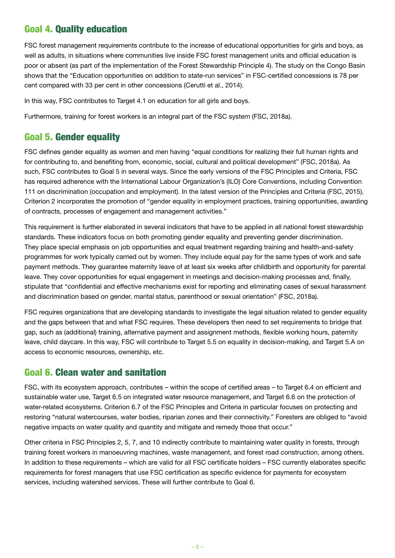## Goal 4. Quality education

FSC forest management requirements contribute to the increase of educational opportunities for girls and boys, as well as adults, in situations where communities live inside FSC forest management units and official education is poor or absent (as part of the implementation of the Forest Stewardship Principle 4). The study on the Congo Basin shows that the "Education opportunities on addition to state-run services" in FSC-certified concessions is 78 per cent compared with 33 per cent in other concessions (Cerutti et al., 2014).

In this way, FSC contributes to Target 4.1 on education for all girls and boys.

Furthermore, training for forest workers is an integral part of the FSC system (FSC, 2018a).

## Goal 5. Gender equality

FSC defines gender equality as women and men having "equal conditions for realizing their full human rights and for contributing to, and benefiting from, economic, social, cultural and political development" (FSC, 2018a). As such, FSC contributes to Goal 5 in several ways. Since the early versions of the FSC Principles and Criteria, FSC has required adherence with the International Labour Organization's (ILO) Core Conventions, including Convention 111 on discrimination (occupation and employment). In the latest version of the Principles and Criteria (FSC, 2015), Criterion 2 incorporates the promotion of "gender equality in employment practices, training opportunities, awarding of contracts, processes of engagement and management activities."

This requirement is further elaborated in several indicators that have to be applied in all national forest stewardship standards. These indicators focus on both promoting gender equality and preventing gender discrimination. They place special emphasis on job opportunities and equal treatment regarding training and health-and-safety programmes for work typically carried out by women. They include equal pay for the same types of work and safe payment methods. They guarantee maternity leave of at least six weeks after childbirth and opportunity for parental leave. They cover opportunities for equal engagement in meetings and decision-making processes and, finally, stipulate that "confidential and effective mechanisms exist for reporting and eliminating cases of sexual harassment and discrimination based on gender, marital status, parenthood or sexual orientation" (FSC, 2018a).

FSC requires organizations that are developing standards to investigate the legal situation related to gender equality and the gaps between that and what FSC requires. These developers then need to set requirements to bridge that gap, such as (additional) training, alternative payment and assignment methods, flexible working hours, paternity leave, child daycare. In this way, FSC will contribute to Target 5.5 on equality in decision-making, and Target 5.A on access to economic resources, ownership, etc.

#### Goal 6. Clean water and sanitation

FSC, with its ecosystem approach, contributes – within the scope of certified areas – to Target 6.4 on efficient and sustainable water use, Target 6.5 on integrated water resource management, and Target 6.6 on the protection of water-related ecosystems. Criterion 6.7 of the FSC Principles and Criteria in particular focuses on protecting and restoring "natural watercourses, water bodies, riparian zones and their connectivity." Foresters are obliged to "avoid negative impacts on water quality and quantity and mitigate and remedy those that occur."

Other criteria in FSC Principles 2, 5, 7, and 10 indirectly contribute to maintaining water quality in forests, through training forest workers in manoeuvring machines, waste management, and forest road construction, among others. In addition to these requirements – which are valid for all FSC certificate holders – FSC currently elaborates specific requirements for forest managers that use FSC certification as specific evidence for payments for ecosystem services, including watershed services. These will further contribute to Goal 6.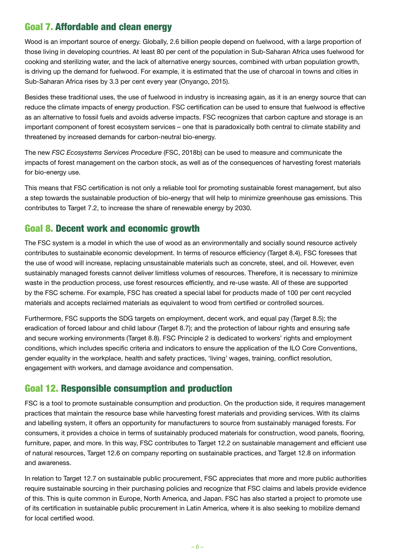## Goal 7. Affordable and clean energy

Wood is an important source of energy. Globally, 2.6 billion people depend on fuelwood, with a large proportion of those living in developing countries. At least 80 per cent of the population in Sub-Saharan Africa uses fuelwood for cooking and sterilizing water, and the lack of alternative energy sources, combined with urban population growth, is driving up the demand for fuelwood. For example, it is estimated that the use of charcoal in towns and cities in Sub-Saharan Africa rises by 3.3 per cent every year (Onyango, 2015).

Besides these traditional uses, the use of fuelwood in industry is increasing again, as it is an energy source that can reduce the climate impacts of energy production. FSC certification can be used to ensure that fuelwood is effective as an alternative to fossil fuels and avoids adverse impacts. FSC recognizes that carbon capture and storage is an important component of forest ecosystem services – one that is paradoxically both central to climate stability and threatened by increased demands for carbon-neutral bio-energy.

The new *FSC Ecosystems Services Procedure* (FSC, 2018b) can be used to measure and communicate the impacts of forest management on the carbon stock, as well as of the consequences of harvesting forest materials for bio-energy use.

This means that FSC certification is not only a reliable tool for promoting sustainable forest management, but also a step towards the sustainable production of bio-energy that will help to minimize greenhouse gas emissions. This contributes to Target 7.2, to increase the share of renewable energy by 2030.

### Goal 8. Decent work and economic growth

The FSC system is a model in which the use of wood as an environmentally and socially sound resource actively contributes to sustainable economic development. In terms of resource efficiency (Target 8.4), FSC foresees that the use of wood will increase, replacing unsustainable materials such as concrete, steel, and oil. However, even sustainably managed forests cannot deliver limitless volumes of resources. Therefore, it is necessary to minimize waste in the production process, use forest resources efficiently, and re-use waste. All of these are supported by the FSC scheme. For example, FSC has created a special label for products made of 100 per cent recycled materials and accepts reclaimed materials as equivalent to wood from certified or controlled sources.

Furthermore, FSC supports the SDG targets on employment, decent work, and equal pay (Target 8.5); the eradication of forced labour and child labour (Target 8.7); and the protection of labour rights and ensuring safe and secure working environments (Target 8.8). FSC Principle 2 is dedicated to workers' rights and employment conditions, which includes specific criteria and indicators to ensure the application of the ILO Core Conventions, gender equality in the workplace, health and safety practices, 'living' wages, training, conflict resolution, engagement with workers, and damage avoidance and compensation.

## Goal 12. Responsible consumption and production

FSC is a tool to promote sustainable consumption and production. On the production side, it requires management practices that maintain the resource base while harvesting forest materials and providing services. With its claims and labelling system, it offers an opportunity for manufacturers to source from sustainably managed forests. For consumers, it provides a choice in terms of sustainably produced materials for construction, wood panels, flooring, furniture, paper, and more. In this way, FSC contributes to Target 12.2 on sustainable management and efficient use of natural resources, Target 12.6 on company reporting on sustainable practices, and Target 12.8 on information and awareness.

In relation to Target 12.7 on sustainable public procurement, FSC appreciates that more and more public authorities require sustainable sourcing in their purchasing policies and recognize that FSC claims and labels provide evidence of this. This is quite common in Europe, North America, and Japan. FSC has also started a project to promote use of its certification in sustainable public procurement in Latin America, where it is also seeking to mobilize demand for local certified wood.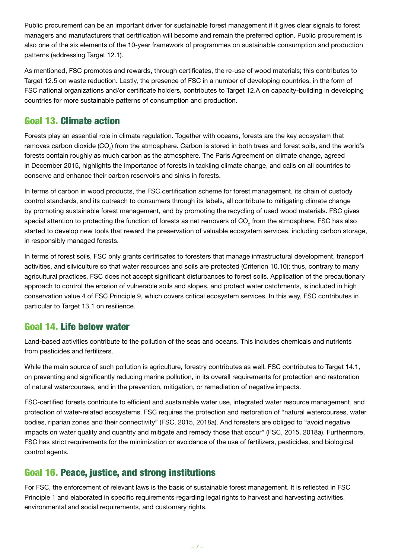Public procurement can be an important driver for sustainable forest management if it gives clear signals to forest managers and manufacturers that certification will become and remain the preferred option. Public procurement is also one of the six elements of the 10-year framework of programmes on sustainable consumption and production patterns (addressing Target 12.1).

As mentioned, FSC promotes and rewards, through certificates, the re-use of wood materials; this contributes to Target 12.5 on waste reduction. Lastly, the presence of FSC in a number of developing countries, in the form of FSC national organizations and/or certificate holders, contributes to Target 12.A on capacity-building in developing countries for more sustainable patterns of consumption and production.

## Goal 13. Climate action

Forests play an essential role in climate regulation. Together with oceans, forests are the key ecosystem that removes carbon dioxide (CO<sub>2</sub>) from the atmosphere. Carbon is stored in both trees and forest soils, and the world's forests contain roughly as much carbon as the atmosphere. The Paris Agreement on climate change, agreed in December 2015, highlights the importance of forests in tackling climate change, and calls on all countries to conserve and enhance their carbon reservoirs and sinks in forests.

In terms of carbon in wood products, the FSC certification scheme for forest management, its chain of custody control standards, and its outreach to consumers through its labels, all contribute to mitigating climate change by promoting sustainable forest management, and by promoting the recycling of used wood materials. FSC gives special attention to protecting the function of forests as net removers of CO<sub>2</sub> from the atmosphere. FSC has also started to develop new tools that reward the preservation of valuable ecosystem services, including carbon storage, in responsibly managed forests.

In terms of forest soils, FSC only grants certificates to foresters that manage infrastructural development, transport activities, and silviculture so that water resources and soils are protected (Criterion 10.10); thus, contrary to many agricultural practices, FSC does not accept significant disturbances to forest soils. Application of the precautionary approach to control the erosion of vulnerable soils and slopes, and protect water catchments, is included in high conservation value 4 of FSC Principle 9, which covers critical ecosystem services. In this way, FSC contributes in particular to Target 13.1 on resilience.

#### Goal 14. Life below water

Land-based activities contribute to the pollution of the seas and oceans. This includes chemicals and nutrients from pesticides and fertilizers.

While the main source of such pollution is agriculture, forestry contributes as well. FSC contributes to Target 14.1, on preventing and significantly reducing marine pollution, in its overall requirements for protection and restoration of natural watercourses, and in the prevention, mitigation, or remediation of negative impacts.

FSC-certified forests contribute to efficient and sustainable water use, integrated water resource management, and protection of water-related ecosystems. FSC requires the protection and restoration of "natural watercourses, water bodies, riparian zones and their connectivity" (FSC, 2015, 2018a). And foresters are obliged to "avoid negative impacts on water quality and quantity and mitigate and remedy those that occur" (FSC, 2015, 2018a). Furthermore, FSC has strict requirements for the minimization or avoidance of the use of fertilizers, pesticides, and biological control agents.

## Goal 16. Peace, justice, and strong institutions

For FSC, the enforcement of relevant laws is the basis of sustainable forest management. It is reflected in FSC Principle 1 and elaborated in specific requirements regarding legal rights to harvest and harvesting activities, environmental and social requirements, and customary rights.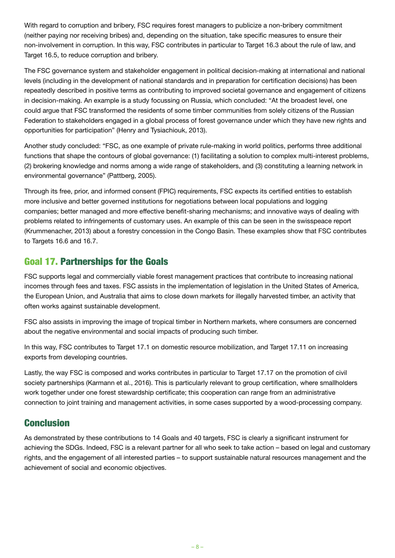With regard to corruption and bribery, FSC requires forest managers to publicize a non-bribery commitment (neither paying nor receiving bribes) and, depending on the situation, take specific measures to ensure their non-involvement in corruption. In this way, FSC contributes in particular to Target 16.3 about the rule of law, and Target 16.5, to reduce corruption and bribery.

The FSC governance system and stakeholder engagement in political decision-making at international and national levels (including in the development of national standards and in preparation for certification decisions) has been repeatedly described in positive terms as contributing to improved societal governance and engagement of citizens in decision-making. An example is a study focussing on Russia, which concluded: "At the broadest level, one could argue that FSC transformed the residents of some timber communities from solely citizens of the Russian Federation to stakeholders engaged in a global process of forest governance under which they have new rights and opportunities for participation" (Henry and Tysiachiouk, 2013).

Another study concluded: "FSC, as one example of private rule-making in world politics, performs three additional functions that shape the contours of global governance: (1) facilitating a solution to complex multi-interest problems, (2) brokering knowledge and norms among a wide range of stakeholders, and (3) constituting a learning network in environmental governance" (Pattberg, 2005).

Through its free, prior, and informed consent (FPIC) requirements, FSC expects its certified entities to establish more inclusive and better governed institutions for negotiations between local populations and logging companies; better managed and more effective benefit-sharing mechanisms; and innovative ways of dealing with problems related to infringements of customary uses. An example of this can be seen in the swisspeace report (Krummenacher, 2013) about a forestry concession in the Congo Basin. These examples show that FSC contributes to Targets 16.6 and 16.7.

## Goal 17. Partnerships for the Goals

FSC supports legal and commercially viable forest management practices that contribute to increasing national incomes through fees and taxes. FSC assists in the implementation of legislation in the United States of America, the European Union, and Australia that aims to close down markets for illegally harvested timber, an activity that often works against sustainable development.

FSC also assists in improving the image of tropical timber in Northern markets, where consumers are concerned about the negative environmental and social impacts of producing such timber.

In this way, FSC contributes to Target 17.1 on domestic resource mobilization, and Target 17.11 on increasing exports from developing countries.

Lastly, the way FSC is composed and works contributes in particular to Target 17.17 on the promotion of civil society partnerships (Karmann et al., 2016). This is particularly relevant to group certification, where smallholders work together under one forest stewardship certificate; this cooperation can range from an administrative connection to joint training and management activities, in some cases supported by a wood-processing company.

## **Conclusion**

As demonstrated by these contributions to 14 Goals and 40 targets, FSC is clearly a significant instrument for achieving the SDGs. Indeed, FSC is a relevant partner for all who seek to take action – based on legal and customary rights, and the engagement of all interested parties – to support sustainable natural resources management and the achievement of social and economic objectives.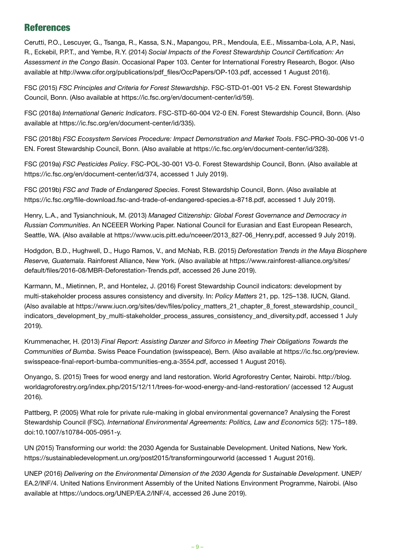### References

Cerutti, P.O., Lescuyer, G., Tsanga, R., Kassa, S.N., Mapangou, P.R., Mendoula, E.E., Missamba-Lola, A.P., Nasi, R., Eckebil, P.P.T., and Yembe, R.Y. (2014) *Social Impacts of the Forest Stewardship Council Certification: An Assessment in the Congo Basin*. Occasional Paper 103. Center for International Forestry Research, Bogor. (Also available at [http://www.cifor.org/publications/pdf\\_files/OccPapers/OP-103.pdf](http://www.cifor.org/publications/pdf_files/OccPapers/OP-103.pdf), accessed 1 August 2016).

FSC (2015) *FSC Principles and Criteria for Forest Stewardship*. FSC-STD-01-001 V5-2 EN. Forest Stewardship Council, Bonn. (Also available at<https://ic.fsc.org/en/document-center/id/59>).

FSC (2018a) *International Generic Indicators*. FSC-STD-60-004 V2-0 EN. Forest Stewardship Council, Bonn. (Also available at <https://ic.fsc.org/en/document-center/id/335>).

FSC (2018b) *FSC Ecosystem Services Procedure: Impact Demonstration and Market Tools*. FSC-PRO-30-006 V1-0 EN. Forest Stewardship Council, Bonn. (Also available at <https://ic.fsc.org/en/document-center/id/328>).

FSC (2019a) *FSC Pesticides Policy*. FSC-POL-30-001 V3-0. Forest Stewardship Council, Bonn. (Also available at <https://ic.fsc.org/en/document-center/id/374>, accessed 1 July 2019).

FSC (2019b) *FSC and Trade of Endangered Species*. Forest Stewardship Council, Bonn. (Also available at [https://ic.fsc.org/file-download.fsc-and-trade-of-endangered-species.a-8718.pdf,](https://ic.fsc.org/file-download.fsc-and-trade-of-endangered-species.a-8718.pdf) accessed 1 July 2019).

Henry, L.A., and Tysianchniouk, M. (2013) *Managed Citizenship: Global Forest Governance and Democracy in Russian Communities*. An NCEEER Working Paper. National Council for Eurasian and East European Research, Seattle, WA. (Also available at [https://www.ucis.pitt.edu/nceeer/2013\\_827-06\\_Henry.pdf,](https://www.ucis.pitt.edu/nceeer/2013_827-06_Henry.pdf) accessed 9 July 2019).

Hodgdon, B.D., Hughwell, D., Hugo Ramos, V., and McNab, R.B. (2015) *Deforestation Trends in the Maya Biosphere Reserve, Guatemala*. Rainforest Alliance, New York. (Also available at [https://www.rainforest-alliance.org/sites/](https://www.rainforest-alliance.org/sites/default/files/2016-08/MBR-Deforestation-Trends.pdf) [default/files/2016-08/MBR-Deforestation-Trends.pdf,](https://www.rainforest-alliance.org/sites/default/files/2016-08/MBR-Deforestation-Trends.pdf) accessed 26 June 2019).

Karmann, M., Mietinnen, P., and Hontelez, J. (2016) Forest Stewardship Council indicators: development by multi-stakeholder process assures consistency and diversity. In: *Policy Matters* 21, pp. 125–138. IUCN, Gland. (Also available at [https://www.iucn.org/sites/dev/files/policy\\_matters\\_21\\_chapter\\_8\\_forest\\_stewardship\\_council\\_](https://www.iucn.org/sites/dev/files/policy_matters_21_chapter_8_forest_stewardship_council_indicators_development_by_multi-stakeholder_process_assures_consistency_and_diversity.pdf) [indicators\\_development\\_by\\_multi-stakeholder\\_process\\_assures\\_consistency\\_and\\_diversity.pdf,](https://www.iucn.org/sites/dev/files/policy_matters_21_chapter_8_forest_stewardship_council_indicators_development_by_multi-stakeholder_process_assures_consistency_and_diversity.pdf) accessed 1 July 2019).

Krummenacher, H. (2013) *Final Report: Assisting Danzer and Siforco in Meeting Their Obligations Towards the Communities of Bumba*. Swiss Peace Foundation (swisspeace), Bern. (Also available at [https://ic.fsc.org/preview.](https://ic.fsc.org/preview.swisspeace-final-report-bumba-communities-eng.a-3554.pdf) [swisspeace-final-report-bumba-communities-eng.a-3554.pdf](https://ic.fsc.org/preview.swisspeace-final-report-bumba-communities-eng.a-3554.pdf), accessed 1 August 2016).

Onyango, S. (2015) Trees for wood energy and land restoration. World Agroforestry Center, Nairobi. [http://blog.](http://blog.worldagroforestry.org/index.php/2015/12/11/trees-for-wood-energy-and-land-restoration/) [worldagroforestry.org/index.php/2015/12/11/trees-for-wood-energy-and-land-restoration/](http://blog.worldagroforestry.org/index.php/2015/12/11/trees-for-wood-energy-and-land-restoration/) (accessed 12 August 2016).

Pattberg, P. (2005) What role for private rule-making in global environmental governance? Analysing the Forest Stewardship Council (FSC). *International Environmental Agreements: Politics, Law and Economics* 5(2): 175–189. doi:10.1007/s10784-005-0951-y.

UN (2015) Transforming our world: the 2030 Agenda for Sustainable Development. United Nations, New York. <https://sustainabledevelopment.un.org/post2015/transformingourworld>(accessed 1 August 2016).

UNEP (2016) *Delivering on the Environmental Dimension of the 2030 Agenda for Sustainable Development*. UNEP/ EA.2/INF/4. United Nations Environment Assembly of the United Nations Environment Programme, Nairobi. (Also available at [https://undocs.org/UNEP/EA.2/INF/4,](https://undocs.org/UNEP/EA.2/INF/4) accessed 26 June 2019).